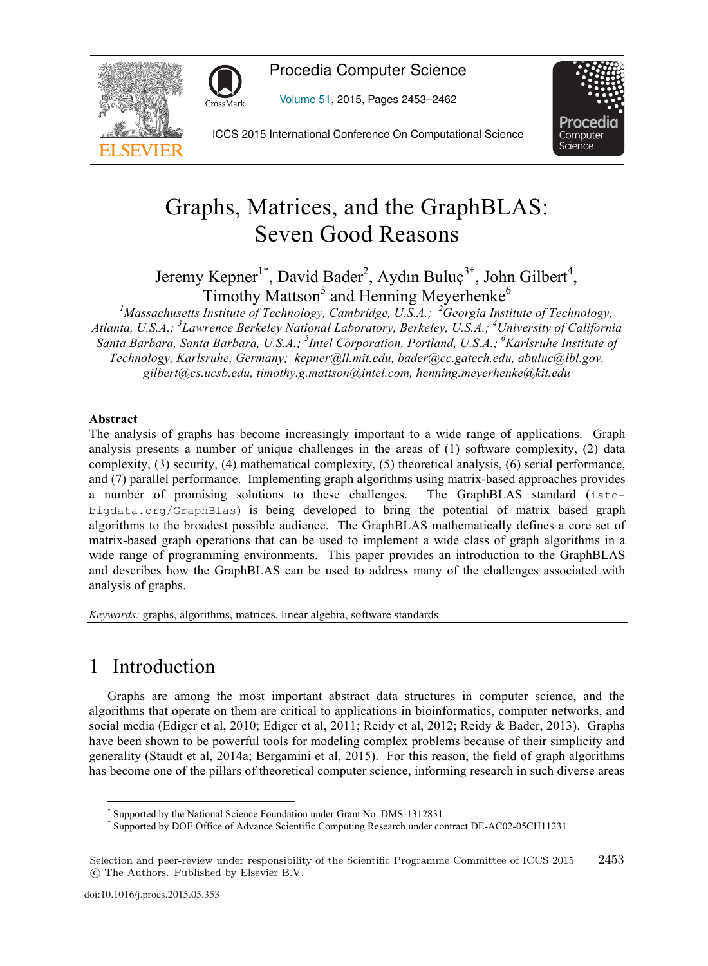



Procedia Computer Science

Volume 51, 2015, Pages 2453–2462



ICCS 2015 International Conference On Computational Science

# Graphs, Matrices, and the GraphBLAS: Seven Good Reasons

Jeremy Kepner<sup>1\*</sup>, David Bader<sup>2</sup>, Aydın Buluç<sup>3†</sup>, John Gilbert<sup>4</sup>, Timothy Mattson<sup>5</sup> and Henning Meyerhenke<sup>6</sup>

<sup>1</sup>Massachusetts Institute of Technology, Cambridge, U.S.A.; <sup>2</sup>Georgia Institute of Technology, *Atlanta, U.S.A.; <sup>3</sup> Lawrence Berkeley National Laboratory, Berkeley, U.S.A.; <sup>4</sup> University of California Santa Barbara, Santa Barbara, U.S.A.; <sup>5</sup> Intel Corporation, Portland, U.S.A.; <sup>6</sup> Karlsruhe Institute of Technology, Karlsruhe, Germany; kepner@ll.mit.edu, bader@cc.gatech.edu, abuluc@lbl.gov, gilbert@cs.ucsb.edu, timothy.g.mattson@intel.com, henning.meyerhenke@kit.edu* 

#### **Abstract**

The analysis of graphs has become increasingly important to a wide range of applications. Graph analysis presents a number of unique challenges in the areas of (1) software complexity, (2) data complexity, (3) security, (4) mathematical complexity, (5) theoretical analysis, (6) serial performance, and (7) parallel performance. Implementing graph algorithms using matrix-based approaches provides a number of promising solutions to these challenges. The GraphBLAS standard (istcbigdata.org/GraphBlas) is being developed to bring the potential of matrix based graph algorithms to the broadest possible audience. The GraphBLAS mathematically defines a core set of matrix-based graph operations that can be used to implement a wide class of graph algorithms in a wide range of programming environments. This paper provides an introduction to the GraphBLAS and describes how the GraphBLAS can be used to address many of the challenges associated with analysis of graphs.

*Keywords:* graphs, algorithms, matrices, linear algebra, software standards

# 1 Introduction

Graphs are among the most important abstract data structures in computer science, and the algorithms that operate on them are critical to applications in bioinformatics, computer networks, and social media (Ediger et al, 2010; Ediger et al, 2011; Reidy et al, 2012; Reidy & Bader, 2013). Graphs have been shown to be powerful tools for modeling complex problems because of their simplicity and generality (Staudt et al, 2014a; Bergamini et al, 2015). For this reason, the field of graph algorithms has become one of the pillars of theoretical computer science, informing research in such diverse areas

 $\overline{a}$ 

<sup>\*</sup> Supported by the National Science Foundation under Grant No. DMS-1312831

<sup>†</sup> Supported by DOE Office of Advance Scientific Computing Research under contract DE-AC02-05CH11231

 -c The Authors. Published by Elsevier B.V. Selection and peer-review under responsibility of the Scientific Programme Committee of ICCS 2015 2453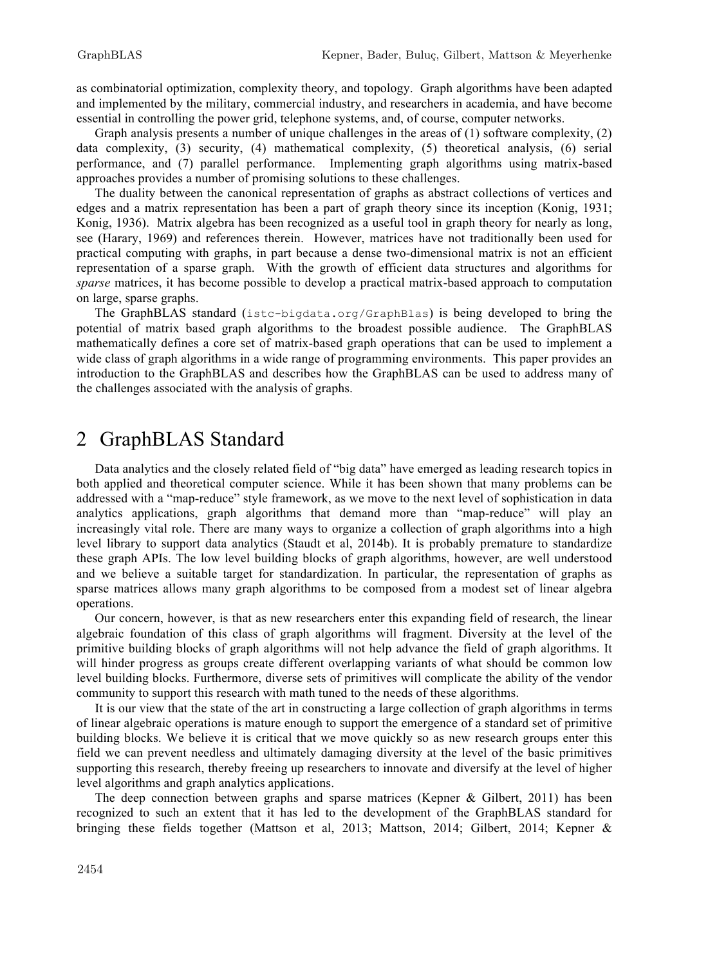as combinatorial optimization, complexity theory, and topology. Graph algorithms have been adapted and implemented by the military, commercial industry, and researchers in academia, and have become essential in controlling the power grid, telephone systems, and, of course, computer networks.

Graph analysis presents a number of unique challenges in the areas of (1) software complexity, (2) data complexity, (3) security, (4) mathematical complexity, (5) theoretical analysis, (6) serial performance, and (7) parallel performance. Implementing graph algorithms using matrix-based approaches provides a number of promising solutions to these challenges.

The duality between the canonical representation of graphs as abstract collections of vertices and edges and a matrix representation has been a part of graph theory since its inception (Konig, 1931; Konig, 1936). Matrix algebra has been recognized as a useful tool in graph theory for nearly as long, see (Harary, 1969) and references therein. However, matrices have not traditionally been used for practical computing with graphs, in part because a dense two-dimensional matrix is not an efficient representation of a sparse graph. With the growth of efficient data structures and algorithms for *sparse* matrices, it has become possible to develop a practical matrix-based approach to computation on large, sparse graphs.

The GraphBLAS standard (istc-bigdata.org/GraphBlas) is being developed to bring the potential of matrix based graph algorithms to the broadest possible audience. The GraphBLAS mathematically defines a core set of matrix-based graph operations that can be used to implement a wide class of graph algorithms in a wide range of programming environments. This paper provides an introduction to the GraphBLAS and describes how the GraphBLAS can be used to address many of the challenges associated with the analysis of graphs.

# 2 GraphBLAS Standard

Data analytics and the closely related field of "big data" have emerged as leading research topics in both applied and theoretical computer science. While it has been shown that many problems can be addressed with a "map-reduce" style framework, as we move to the next level of sophistication in data analytics applications, graph algorithms that demand more than "map-reduce" will play an increasingly vital role. There are many ways to organize a collection of graph algorithms into a high level library to support data analytics (Staudt et al, 2014b). It is probably premature to standardize these graph APIs. The low level building blocks of graph algorithms, however, are well understood and we believe a suitable target for standardization. In particular, the representation of graphs as sparse matrices allows many graph algorithms to be composed from a modest set of linear algebra operations.

Our concern, however, is that as new researchers enter this expanding field of research, the linear algebraic foundation of this class of graph algorithms will fragment. Diversity at the level of the primitive building blocks of graph algorithms will not help advance the field of graph algorithms. It will hinder progress as groups create different overlapping variants of what should be common low level building blocks. Furthermore, diverse sets of primitives will complicate the ability of the vendor community to support this research with math tuned to the needs of these algorithms.

It is our view that the state of the art in constructing a large collection of graph algorithms in terms of linear algebraic operations is mature enough to support the emergence of a standard set of primitive building blocks. We believe it is critical that we move quickly so as new research groups enter this field we can prevent needless and ultimately damaging diversity at the level of the basic primitives supporting this research, thereby freeing up researchers to innovate and diversify at the level of higher level algorithms and graph analytics applications.

The deep connection between graphs and sparse matrices (Kepner & Gilbert, 2011) has been recognized to such an extent that it has led to the development of the GraphBLAS standard for bringing these fields together (Mattson et al, 2013; Mattson, 2014; Gilbert, 2014; Kepner &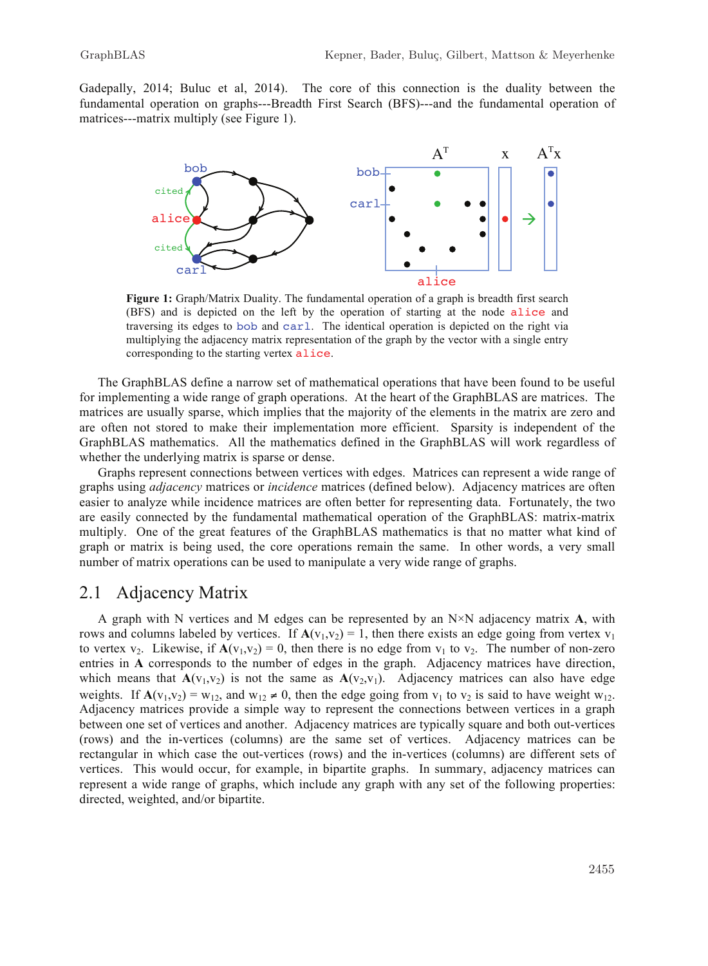Gadepally, 2014; Buluc et al, 2014). The core of this connection is the duality between the fundamental operation on graphs---Breadth First Search (BFS)---and the fundamental operation of matrices---matrix multiply (see Figure 1).



**Figure 1:** Graph/Matrix Duality. The fundamental operation of a graph is breadth first search (BFS) and is depicted on the left by the operation of starting at the node alice and traversing its edges to bob and carl. The identical operation is depicted on the right via multiplying the adjacency matrix representation of the graph by the vector with a single entry corresponding to the starting vertex alice.

The GraphBLAS define a narrow set of mathematical operations that have been found to be useful for implementing a wide range of graph operations. At the heart of the GraphBLAS are matrices. The matrices are usually sparse, which implies that the majority of the elements in the matrix are zero and are often not stored to make their implementation more efficient. Sparsity is independent of the GraphBLAS mathematics. All the mathematics defined in the GraphBLAS will work regardless of whether the underlying matrix is sparse or dense.

Graphs represent connections between vertices with edges. Matrices can represent a wide range of graphs using *adjacency* matrices or *incidence* matrices (defined below). Adjacency matrices are often easier to analyze while incidence matrices are often better for representing data. Fortunately, the two are easily connected by the fundamental mathematical operation of the GraphBLAS: matrix-matrix multiply. One of the great features of the GraphBLAS mathematics is that no matter what kind of graph or matrix is being used, the core operations remain the same. In other words, a very small number of matrix operations can be used to manipulate a very wide range of graphs.

#### 2.1 Adjacency Matrix

A graph with N vertices and M edges can be represented by an N×N adjacency matrix **A**, with rows and columns labeled by vertices. If  $A(v_1, v_2) = 1$ , then there exists an edge going from vertex  $v_1$ to vertex  $v_2$ . Likewise, if  $A(v_1, v_2) = 0$ , then there is no edge from  $v_1$  to  $v_2$ . The number of non-zero entries in **A** corresponds to the number of edges in the graph. Adjacency matrices have direction, which means that  $\mathbf{A}(v_1,v_2)$  is not the same as  $\mathbf{A}(v_2,v_1)$ . Adjacency matrices can also have edge weights. If  $A(v_1, v_2) = w_{12}$ , and  $w_{12} \neq 0$ , then the edge going from  $v_1$  to  $v_2$  is said to have weight  $w_{12}$ . Adjacency matrices provide a simple way to represent the connections between vertices in a graph between one set of vertices and another. Adjacency matrices are typically square and both out-vertices (rows) and the in-vertices (columns) are the same set of vertices. Adjacency matrices can be rectangular in which case the out-vertices (rows) and the in-vertices (columns) are different sets of vertices. This would occur, for example, in bipartite graphs. In summary, adjacency matrices can represent a wide range of graphs, which include any graph with any set of the following properties: directed, weighted, and/or bipartite.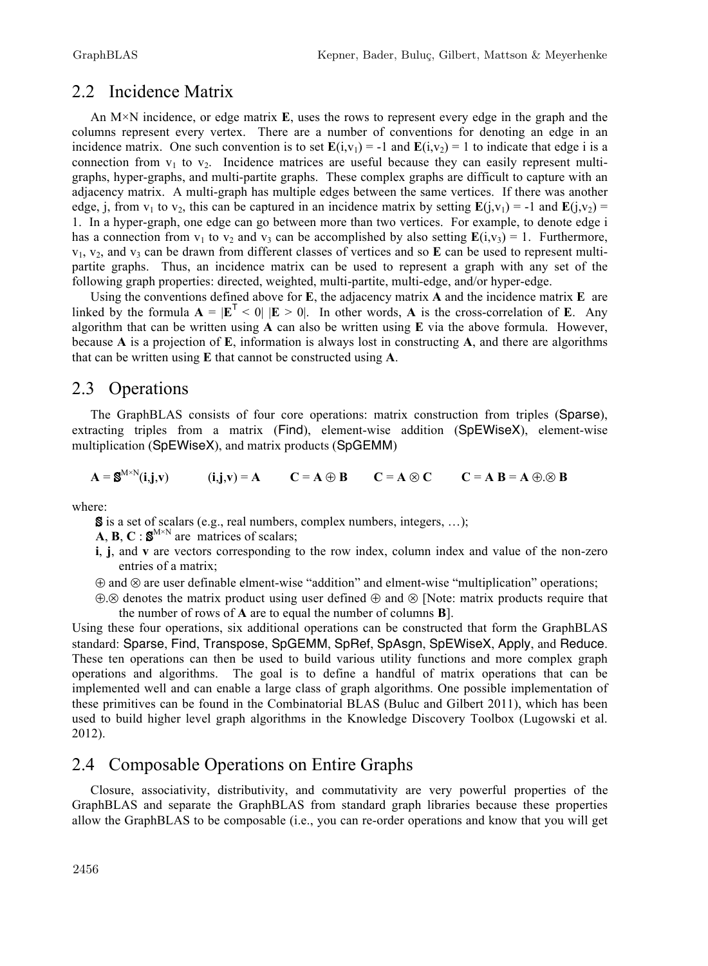### 2.2 Incidence Matrix

An M×N incidence, or edge matrix **E**, uses the rows to represent every edge in the graph and the columns represent every vertex. There are a number of conventions for denoting an edge in an incidence matrix. One such convention is to set  $\mathbf{E}(i,y_1) = -1$  and  $\mathbf{E}(i,y_2) = 1$  to indicate that edge i is a connection from  $v_1$  to  $v_2$ . Incidence matrices are useful because they can easily represent multigraphs, hyper-graphs, and multi-partite graphs. These complex graphs are difficult to capture with an adjacency matrix. A multi-graph has multiple edges between the same vertices. If there was another edge, j, from  $v_1$  to  $v_2$ , this can be captured in an incidence matrix by setting  $\mathbf{E}(i,v_1) = -1$  and  $\mathbf{E}(i,v_2) =$ 1. In a hyper-graph, one edge can go between more than two vertices. For example, to denote edge i has a connection from  $v_1$  to  $v_2$  and  $v_3$  can be accomplished by also setting  $\mathbf{E}(i,v_3) = 1$ . Furthermore,  $v_1$ ,  $v_2$ , and  $v_3$  can be drawn from different classes of vertices and so **E** can be used to represent multipartite graphs. Thus, an incidence matrix can be used to represent a graph with any set of the following graph properties: directed, weighted, multi-partite, multi-edge, and/or hyper-edge.

Using the conventions defined above for **E**, the adjacency matrix **A** and the incidence matrix **E** are linked by the formula  $A = |E^T| < 0$   $|E| > 0$ . In other words, A is the cross-correlation of E. Any algorithm that can be written using **A** can also be written using **E** via the above formula. However, because **A** is a projection of **E**, information is always lost in constructing **A**, and there are algorithms that can be written using **E** that cannot be constructed using **A**.

#### 2.3 Operations

The GraphBLAS consists of four core operations: matrix construction from triples (Sparse), extracting triples from a matrix (Find), element-wise addition (SpEWiseX), element-wise multiplication (SpEWiseX), and matrix products (SpGEMM)

$$
\mathbf{A} = \mathbf{S}^{M \times N}(\mathbf{i}, \mathbf{j}, \mathbf{v}) \qquad (\mathbf{i}, \mathbf{j}, \mathbf{v}) = \mathbf{A} \qquad \mathbf{C} = \mathbf{A} \oplus \mathbf{B} \qquad \mathbf{C} = \mathbf{A} \otimes \mathbf{C} \qquad \mathbf{C} = \mathbf{A} \mathbf{B} = \mathbf{A} \oplus \mathbf{B} \mathbf{B}
$$

where:

S is a set of scalars (e.g., real numbers, complex numbers, integers, ...);

- **A**, **B**, **C** :  $\mathbf{S}^{M \times N}$  are matrices of scalars;
- **i**, **j**, and **v** are vectors corresponding to the row index, column index and value of the non-zero entries of a matrix;
- ⊕ and ⊗ are user definable elment-wise "addition" and elment-wise "multiplication" operations;
- ⊕.⊗ denotes the matrix product using user defined ⊕ and ⊗ [Note: matrix products require that the number of rows of **A** are to equal the number of columns **B**].

Using these four operations, six additional operations can be constructed that form the GraphBLAS standard: Sparse, Find, Transpose, SpGEMM, SpRef, SpAsgn, SpEWiseX, Apply, and Reduce. These ten operations can then be used to build various utility functions and more complex graph operations and algorithms. The goal is to define a handful of matrix operations that can be implemented well and can enable a large class of graph algorithms. One possible implementation of these primitives can be found in the Combinatorial BLAS (Buluc and Gilbert 2011), which has been used to build higher level graph algorithms in the Knowledge Discovery Toolbox (Lugowski et al. 2012).

### 2.4 Composable Operations on Entire Graphs

Closure, associativity, distributivity, and commutativity are very powerful properties of the GraphBLAS and separate the GraphBLAS from standard graph libraries because these properties allow the GraphBLAS to be composable (i.e., you can re-order operations and know that you will get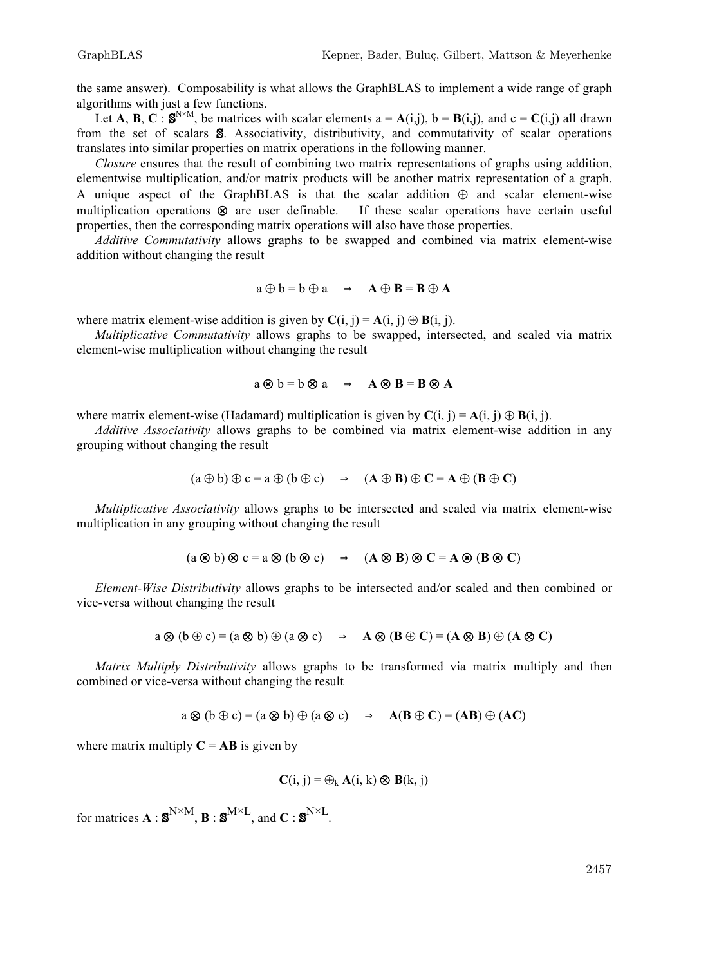the same answer). Composability is what allows the GraphBLAS to implement a wide range of graph algorithms with just a few functions.

Let **A**, **B**, **C** :  $\mathbf{S}^{N \times M}$ , be matrices with scalar elements  $a = \mathbf{A}(i,j)$ ,  $b = \mathbf{B}(i,j)$ , and  $c = \mathbf{C}(i,j)$  all drawn from the set of scalars  $\$\$ . Associativity, distributivity, and commutativity of scalar operations translates into similar properties on matrix operations in the following manner.

*Closure* ensures that the result of combining two matrix representations of graphs using addition, elementwise multiplication, and/or matrix products will be another matrix representation of a graph. A unique aspect of the GraphBLAS is that the scalar addition  $\oplus$  and scalar element-wise multiplication operations  $\otimes$  are user definable. If these scalar operations have certain useful multiplication operations  $\otimes$  are user definable. properties, then the corresponding matrix operations will also have those properties.

*Additive Commutativity* allows graphs to be swapped and combined via matrix element-wise addition without changing the result

$$
a \oplus b = b \oplus a \quad \Rightarrow \quad A \oplus B = B \oplus A
$$

where matrix element-wise addition is given by  $C(i, j) = A(i, j) \oplus B(i, j)$ .

*Multiplicative Commutativity* allows graphs to be swapped, intersected, and scaled via matrix element-wise multiplication without changing the result

#### $a \otimes b = b \otimes a \Rightarrow A \otimes B = B \otimes A$

where matrix element-wise (Hadamard) multiplication is given by  $C(i, j) = A(i, j) \oplus B(i, j)$ .

*Additive Associativity* allows graphs to be combined via matrix element-wise addition in any grouping without changing the result

$$
(a \oplus b) \oplus c = a \oplus (b \oplus c) \quad \Rightarrow \quad (A \oplus B) \oplus C = A \oplus (B \oplus C)
$$

*Multiplicative Associativity* allows graphs to be intersected and scaled via matrix element-wise multiplication in any grouping without changing the result

 $(a \otimes b) \otimes c = a \otimes (b \otimes c) \Rightarrow (A \otimes B) \otimes C = A \otimes (B \otimes C)$ 

*Element-Wise Distributivity* allows graphs to be intersected and/or scaled and then combined or vice-versa without changing the result

$$
a \otimes (b \oplus c) = (a \otimes b) \oplus (a \otimes c) \quad \Rightarrow \quad A \otimes (B \oplus C) = (A \otimes B) \oplus (A \otimes C)
$$

*Matrix Multiply Distributivity* allows graphs to be transformed via matrix multiply and then combined or vice-versa without changing the result

$$
a \otimes (b \oplus c) = (a \otimes b) \oplus (a \otimes c) \quad \Rightarrow \quad A(B \oplus C) = (AB) \oplus (AC)
$$

where matrix multiply  $C = AB$  is given by

$$
\mathbf{C}(i, j) = \bigoplus_k \mathbf{A}(i, k) \otimes \mathbf{B}(k, j)
$$

for matrices  $\mathbf{A} : \mathbf{S}^{N \times M}, \mathbf{B} : \mathbf{S}^{M \times L}, \text{ and } \mathbf{C} : \mathbf{S}^{N \times L}.$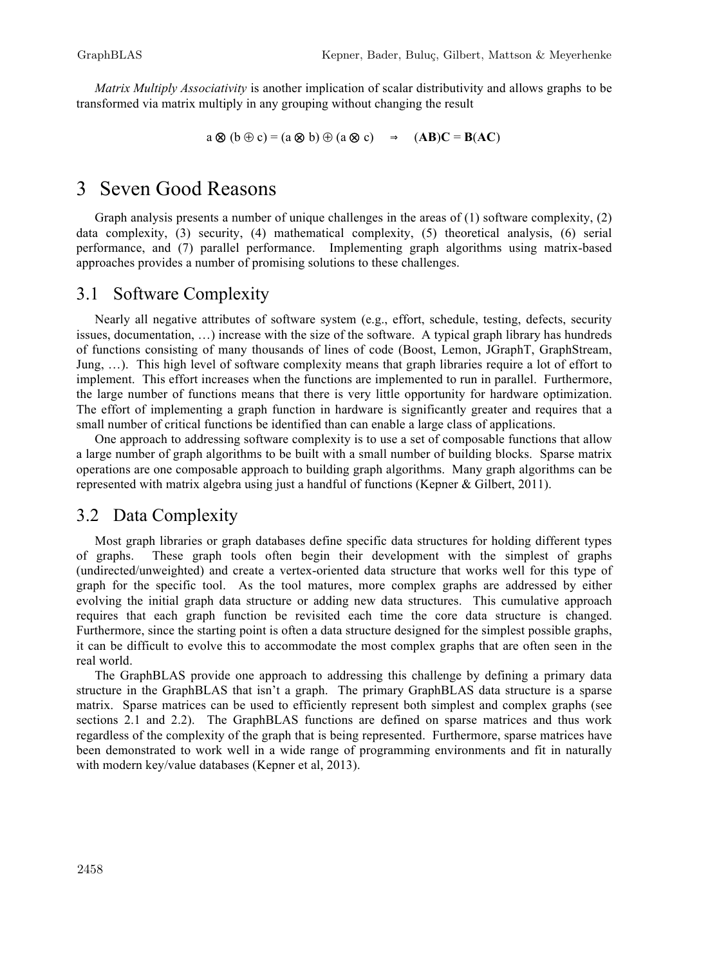*Matrix Multiply Associativity* is another implication of scalar distributivity and allows graphs to be transformed via matrix multiply in any grouping without changing the result

 $a \otimes (b \oplus c) = (a \otimes b) \oplus (a \otimes c) \Rightarrow (AB)C = B(AC)$ 

# 3 Seven Good Reasons

Graph analysis presents a number of unique challenges in the areas of (1) software complexity, (2) data complexity, (3) security, (4) mathematical complexity, (5) theoretical analysis, (6) serial performance, and (7) parallel performance. Implementing graph algorithms using matrix-based approaches provides a number of promising solutions to these challenges.

### 3.1 Software Complexity

Nearly all negative attributes of software system (e.g., effort, schedule, testing, defects, security issues, documentation, …) increase with the size of the software. A typical graph library has hundreds of functions consisting of many thousands of lines of code (Boost, Lemon, JGraphT, GraphStream, Jung, …). This high level of software complexity means that graph libraries require a lot of effort to implement. This effort increases when the functions are implemented to run in parallel. Furthermore, the large number of functions means that there is very little opportunity for hardware optimization. The effort of implementing a graph function in hardware is significantly greater and requires that a small number of critical functions be identified than can enable a large class of applications.

One approach to addressing software complexity is to use a set of composable functions that allow a large number of graph algorithms to be built with a small number of building blocks. Sparse matrix operations are one composable approach to building graph algorithms. Many graph algorithms can be represented with matrix algebra using just a handful of functions (Kepner & Gilbert, 2011).

### 3.2 Data Complexity

Most graph libraries or graph databases define specific data structures for holding different types of graphs. These graph tools often begin their development with the simplest of graphs (undirected/unweighted) and create a vertex-oriented data structure that works well for this type of graph for the specific tool. As the tool matures, more complex graphs are addressed by either evolving the initial graph data structure or adding new data structures. This cumulative approach requires that each graph function be revisited each time the core data structure is changed. Furthermore, since the starting point is often a data structure designed for the simplest possible graphs, it can be difficult to evolve this to accommodate the most complex graphs that are often seen in the real world.

The GraphBLAS provide one approach to addressing this challenge by defining a primary data structure in the GraphBLAS that isn't a graph. The primary GraphBLAS data structure is a sparse matrix. Sparse matrices can be used to efficiently represent both simplest and complex graphs (see sections 2.1 and 2.2). The GraphBLAS functions are defined on sparse matrices and thus work regardless of the complexity of the graph that is being represented. Furthermore, sparse matrices have been demonstrated to work well in a wide range of programming environments and fit in naturally with modern key/value databases (Kepner et al, 2013).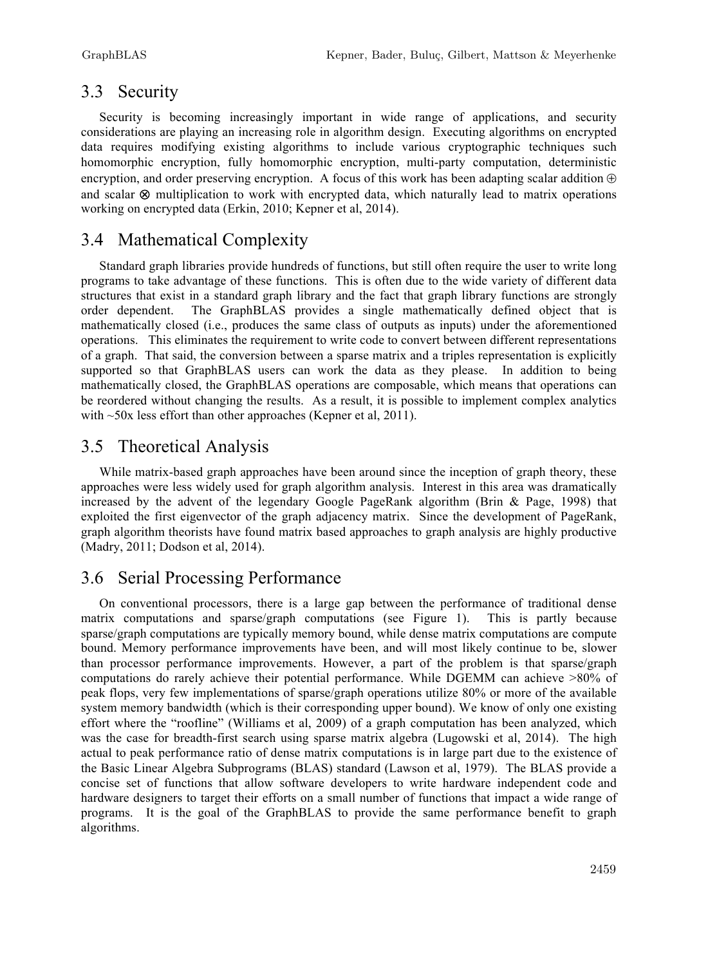## 3.3 Security

Security is becoming increasingly important in wide range of applications, and security considerations are playing an increasing role in algorithm design. Executing algorithms on encrypted data requires modifying existing algorithms to include various cryptographic techniques such homomorphic encryption, fully homomorphic encryption, multi-party computation, deterministic encryption, and order preserving encryption. A focus of this work has been adapting scalar addition  $\oplus$ and scalar ⊗ multiplication to work with encrypted data, which naturally lead to matrix operations working on encrypted data (Erkin, 2010; Kepner et al, 2014).

## 3.4 Mathematical Complexity

Standard graph libraries provide hundreds of functions, but still often require the user to write long programs to take advantage of these functions. This is often due to the wide variety of different data structures that exist in a standard graph library and the fact that graph library functions are strongly order dependent. The GraphBLAS provides a single mathematically defined object that is mathematically closed (i.e., produces the same class of outputs as inputs) under the aforementioned operations. This eliminates the requirement to write code to convert between different representations of a graph. That said, the conversion between a sparse matrix and a triples representation is explicitly supported so that GraphBLAS users can work the data as they please. In addition to being mathematically closed, the GraphBLAS operations are composable, which means that operations can be reordered without changing the results. As a result, it is possible to implement complex analytics with ~50x less effort than other approaches (Kepner et al, 2011).

# 3.5 Theoretical Analysis

While matrix-based graph approaches have been around since the inception of graph theory, these approaches were less widely used for graph algorithm analysis. Interest in this area was dramatically increased by the advent of the legendary Google PageRank algorithm (Brin & Page, 1998) that exploited the first eigenvector of the graph adjacency matrix. Since the development of PageRank, graph algorithm theorists have found matrix based approaches to graph analysis are highly productive (Madry, 2011; Dodson et al, 2014).

# 3.6 Serial Processing Performance

On conventional processors, there is a large gap between the performance of traditional dense matrix computations and sparse/graph computations (see Figure 1). This is partly because sparse/graph computations are typically memory bound, while dense matrix computations are compute bound. Memory performance improvements have been, and will most likely continue to be, slower than processor performance improvements. However, a part of the problem is that sparse/graph computations do rarely achieve their potential performance. While DGEMM can achieve >80% of peak flops, very few implementations of sparse/graph operations utilize 80% or more of the available system memory bandwidth (which is their corresponding upper bound). We know of only one existing effort where the "roofline" (Williams et al, 2009) of a graph computation has been analyzed, which was the case for breadth-first search using sparse matrix algebra (Lugowski et al, 2014). The high actual to peak performance ratio of dense matrix computations is in large part due to the existence of the Basic Linear Algebra Subprograms (BLAS) standard (Lawson et al, 1979). The BLAS provide a concise set of functions that allow software developers to write hardware independent code and hardware designers to target their efforts on a small number of functions that impact a wide range of programs. It is the goal of the GraphBLAS to provide the same performance benefit to graph algorithms.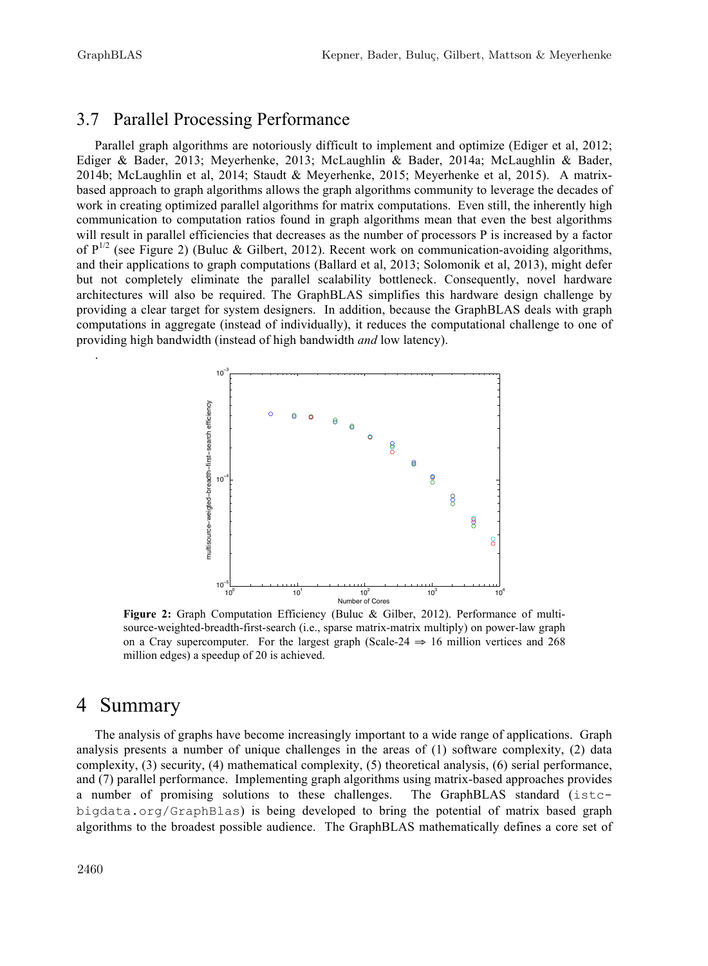.

#### 3.7 Parallel Processing Performance

Parallel graph algorithms are notoriously difficult to implement and optimize (Ediger et al, 2012; Ediger & Bader, 2013; Meyerhenke, 2013; McLaughlin & Bader, 2014a; McLaughlin & Bader, 2014b; McLaughlin et al, 2014; Staudt & Meyerhenke, 2015; Meyerhenke et al, 2015). A matrixbased approach to graph algorithms allows the graph algorithms community to leverage the decades of work in creating optimized parallel algorithms for matrix computations. Even still, the inherently high communication to computation ratios found in graph algorithms mean that even the best algorithms will result in parallel efficiencies that decreases as the number of processors P is increased by a factor of  $P^{1/2}$  (see Figure 2) (Buluc & Gilbert, 2012). Recent work on communication-avoiding algorithms, and their applications to graph computations (Ballard et al, 2013; Solomonik et al, 2013), might defer but not completely eliminate the parallel scalability bottleneck. Consequently, novel hardware architectures will also be required. The GraphBLAS simplifies this hardware design challenge by providing a clear target for system designers. In addition, because the GraphBLAS deals with graph computations in aggregate (instead of individually), it reduces the computational challenge to one of providing high bandwidth (instead of high bandwidth *and* low latency).



**Figure 2:** Graph Computation Efficiency (Buluc & Gilber, 2012). Performance of multisource-weighted-breadth-first-search (i.e., sparse matrix-matrix multiply) on power-law graph on a Cray supercomputer. For the largest graph (Scale-24  $\Rightarrow$  16 million vertices and 268 million edges) a speedup of 20 is achieved.

# 4 Summary

The analysis of graphs have become increasingly important to a wide range of applications. Graph analysis presents a number of unique challenges in the areas of (1) software complexity, (2) data complexity, (3) security, (4) mathematical complexity, (5) theoretical analysis, (6) serial performance, and (7) parallel performance. Implementing graph algorithms using matrix-based approaches provides a number of promising solutions to these challenges. The GraphBLAS standard (istcbigdata.org/GraphBlas) is being developed to bring the potential of matrix based graph algorithms to the broadest possible audience. The GraphBLAS mathematically defines a core set of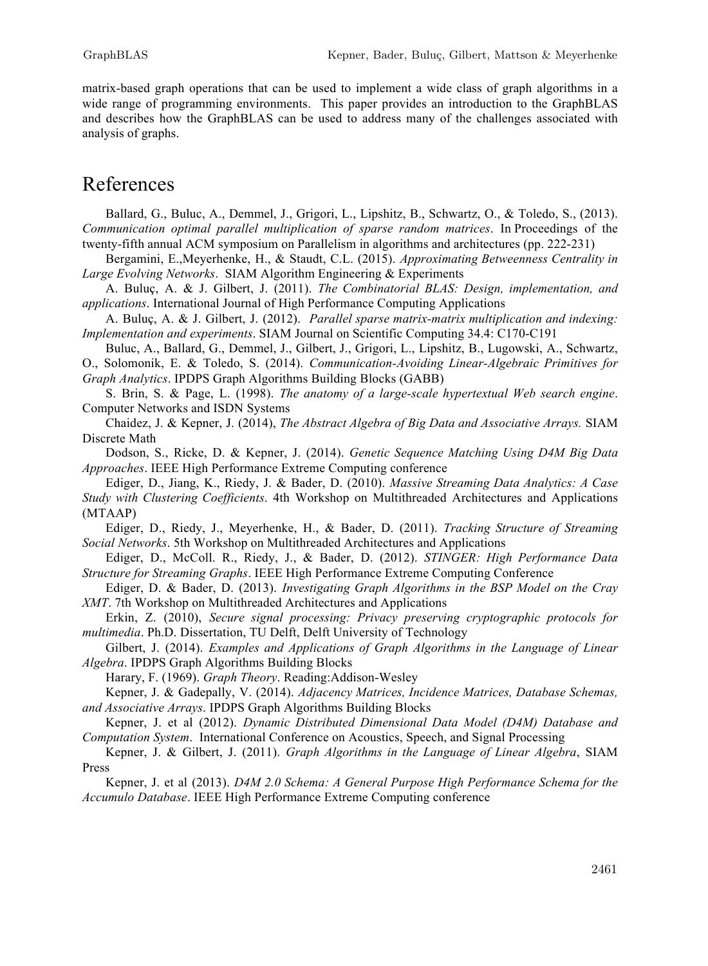matrix-based graph operations that can be used to implement a wide class of graph algorithms in a wide range of programming environments. This paper provides an introduction to the GraphBLAS and describes how the GraphBLAS can be used to address many of the challenges associated with analysis of graphs.

# References

Ballard, G., Buluc, A., Demmel, J., Grigori, L., Lipshitz, B., Schwartz, O., & Toledo, S., (2013). *Communication optimal parallel multiplication of sparse random matrices*. In Proceedings of the twenty-fifth annual ACM symposium on Parallelism in algorithms and architectures (pp. 222-231)

Bergamini, E.,Meyerhenke, H., & Staudt, C.L. (2015). *Approximating Betweenness Centrality in Large Evolving Networks*. SIAM Algorithm Engineering & Experiments

A. Buluç, A. & J. Gilbert, J. (2011). *The Combinatorial BLAS: Design, implementation, and applications*. International Journal of High Performance Computing Applications

A. Buluç, A. & J. Gilbert, J. (2012). *Parallel sparse matrix-matrix multiplication and indexing: Implementation and experiments*. SIAM Journal on Scientific Computing 34.4: C170-C191

Buluc, A., Ballard, G., Demmel, J., Gilbert, J., Grigori, L., Lipshitz, B., Lugowski, A., Schwartz, O., Solomonik, E. & Toledo, S. (2014). *Communication-Avoiding Linear-Algebraic Primitives for Graph Analytics*. IPDPS Graph Algorithms Building Blocks (GABB)

S. Brin, S. & Page, L. (1998). *The anatomy of a large-scale hypertextual Web search engine*. Computer Networks and ISDN Systems

Chaidez, J. & Kepner, J. (2014), *The Abstract Algebra of Big Data and Associative Arrays.* SIAM Discrete Math

Dodson, S., Ricke, D. & Kepner, J. (2014). *Genetic Sequence Matching Using D4M Big Data Approaches*. IEEE High Performance Extreme Computing conference

Ediger, D., Jiang, K., Riedy, J. & Bader, D. (2010). *Massive Streaming Data Analytics: A Case Study with Clustering Coefficients*. 4th Workshop on Multithreaded Architectures and Applications (MTAAP)

Ediger, D., Riedy, J., Meyerhenke, H., & Bader, D. (2011). *Tracking Structure of Streaming Social Networks*. 5th Workshop on Multithreaded Architectures and Applications

Ediger, D., McColl. R., Riedy, J., & Bader, D. (2012). *STINGER: High Performance Data Structure for Streaming Graphs*. IEEE High Performance Extreme Computing Conference

Ediger, D. & Bader, D. (2013). *Investigating Graph Algorithms in the BSP Model on the Cray XMT*. 7th Workshop on Multithreaded Architectures and Applications

Erkin, Z. (2010), *Secure signal processing: Privacy preserving cryptographic protocols for multimedia*. Ph.D. Dissertation, TU Delft, Delft University of Technology

Gilbert, J. (2014). *Examples and Applications of Graph Algorithms in the Language of Linear Algebra*. IPDPS Graph Algorithms Building Blocks

Harary, F. (1969). *Graph Theory*. Reading:Addison-Wesley

Kepner, J. & Gadepally, V. (2014). *Adjacency Matrices, Incidence Matrices, Database Schemas, and Associative Arrays*. IPDPS Graph Algorithms Building Blocks

Kepner, J. et al (2012). *Dynamic Distributed Dimensional Data Model (D4M) Database and Computation System*. International Conference on Acoustics, Speech, and Signal Processing

Kepner, J. & Gilbert, J. (2011). *Graph Algorithms in the Language of Linear Algebra*, SIAM Press

Kepner, J. et al (2013). *D4M 2.0 Schema: A General Purpose High Performance Schema for the Accumulo Database*. IEEE High Performance Extreme Computing conference